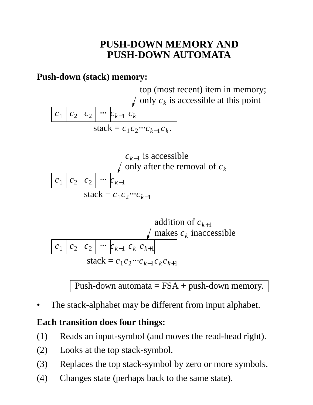# **PUSH-DOWN MEMORY AND PUSH-DOWN AUTOMATA**

### **Push-down (stack) memory:**





 $c_1 | c_2 | c_2 | \cdots | c_{k-1} | c_k | c_{k+1}$ addition of  $c_{k+1}$ makes *c<sup>k</sup>* inaccessible  $stack = c_1 c_2 \cdots c_{k-1} c_k c_{k+1}$ 

Push-down automata  $=$  FSA + push-down memory.

The stack-alphabet may be different from input alphabet.

### **Each transition does four things:**

- (1) Reads an input-symbol (and moves the read-head right).
- (2) Looks at the top stack-symbol.
- (3) Replaces the top stack-symbol by zero or more symbols.
- (4) Changes state (perhaps back to the same state).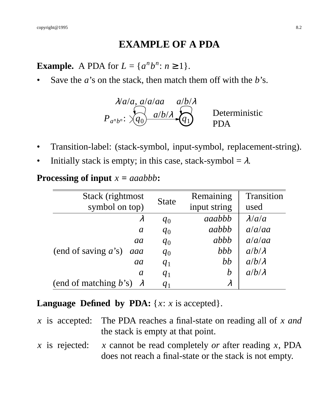#### **EXAMPLE OF A PDA**

**Example.** A PDA for  $L = \{a^n b^n : n \ge 1\}.$ 

Save the *a*'s on the stack, then match them off with the *b*'s.

$$
\lambda/a/a
$$
,  $a/a/aa$   $a/b/\lambda$   
\n $P_{a^n b^n}: \sqrt{q_0} \quad \lambda/b/\lambda$   $\lambda$  Deterministic  
\n $PDA$ 

- Transition-label: (stack-symbol, input-symbol, replacement-string).
- Initially stack is empty; in this case, stack-symbol =  $\lambda$ .

| Stack (rightmost)               | <b>State</b> | Remaining        | Transition    |
|---------------------------------|--------------|------------------|---------------|
| symbol on top)                  |              | input string     | used          |
| $\lambda$                       | $q_0$        | <i>aaabbb</i>    | $\lambda/a/a$ |
| $\mathfrak a$                   | $q_0$        | aabbb            | a/a/aa        |
| aa                              | $q_0$        | abbb             | a/a/aa        |
| (end of saving $a$ 's)<br>aaa   | $q_0$        | bbb              | $a/b/\lambda$ |
| aa                              | $q_1$        | bb               | $a/b/\lambda$ |
| $\mathfrak a$                   | $q_1$        | $\boldsymbol{b}$ | $a/b/\lambda$ |
| (end of matching b's) $\lambda$ | $q_1$        |                  |               |

**Processing of input** *x* **=** *aaabbb***:**

#### **Language Defined by PDA:** {*x*: *x* is accepted}.

- *x* is accepted: The PDA reaches a final-state on reading all of *x and* the stack is empty at that point.
- *x* is rejected: *x* cannot be read completely *or* after reading *x*, PDA does not reach a final-state or the stack is not empty.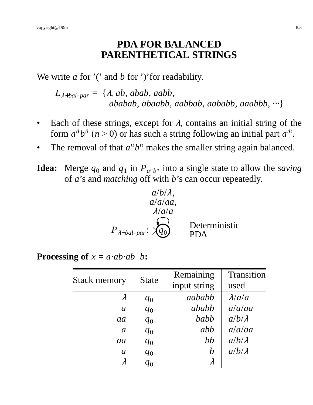## **PDA FOR BALANCED PARENTHETICAL STRINGS**

We write *a* for '(' and *b* for ')' for readability.

 $L_{\lambda+bal\text{-}par} = {\lambda, ab, abab, aabb,}$ *ababab*, *abaabb*, *aabbab*, *aababb*, *aaabbb*, ⋅⋅⋅}

- Each of these strings, except for  $\lambda$ , contains an initial string of the form  $a^n b^n$  ( $n > 0$ ) or has such a string following an initial part  $a^m$ .
- The removal of that  $a^n b^n$  makes the smaller string again balanced.
- **Idea:** Merge  $q_0$  and  $q_1$  in  $P_{a^n b^n}$  into a single state to allow the *saving* of *a*'s and *matching* off with *b*'s can occur repeatedly.

$$
a/b/\lambda
$$
,  
\n $a/a/aa$ ,  
\n $\lambda/a/a$   
\n $P_{\lambda+bal-par}: \overbrace{q_0}$  Deterministic  
\nPDA

**Processing of**  $x = a \cdot ab \cdot ab \cdot b$ :

| <b>Stack memory</b> | <b>State</b> | Remaining        | Transition    |
|---------------------|--------------|------------------|---------------|
|                     |              | input string     | used          |
| $\lambda$           | $q_0$        | aababb           | $\lambda/a/a$ |
| $\mathfrak a$       | $q_0$        | ababb            | a/a/aa        |
| aa                  | $q_0$        | babb             | $a/b/\lambda$ |
| $\mathfrak{a}$      | $q_0$        | abb              | a/a/aa        |
| aa                  | $q_0$        | bb               | $a/b/\lambda$ |
| $\mathfrak{a}$      | $q_0$        | $\boldsymbol{b}$ | $a/b/\lambda$ |
| $\lambda$           | $q_0$        | $\lambda$        |               |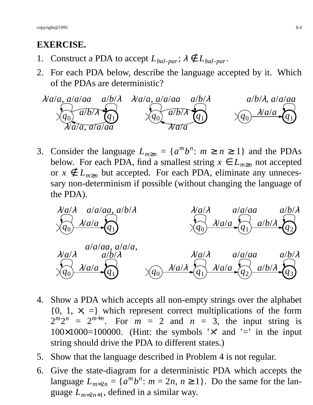## **EXERCISE.**

- 1. Construct a PDA to accept  $L_{bal\text{-}par}$ ;  $\lambda \notin L_{bal\text{-}par}$ .
- 2. For each PDA below, describe the language accepted by it. Which of the PDAs are deterministic?



3. Consider the language  $L_{m\geq n} = \{a^m b^n : m \geq n \geq 1\}$  and the PDAs below. For each PDA, find a smallest string  $x \in L_{m \ge n}$  not accepted or  $x \notin L_{m \ge n}$  but accepted. For each PDA, eliminate any unnecessary non-determinism if possible (without changing the language of the PDA).



- 4. Show a PDA which accepts all non-empty strings over the alphabet  ${0, 1, x, =}$  which represent correct multiplications of the form  $2^{m}2^{n} = 2^{m+n}$ . For  $m = 2$  and  $n = 3$ , the input string is  $100\times1000=100000$ . (Hint: the symbols ' $\times$ ' and '=' in the input string should drive the PDA to different states.)
- 5. Show that the language described in Problem 4 is not regular.
- 6. Give the state-diagram for a deterministic PDA which accepts the language  $L_{m=2n} = \{a^m b^n : m = 2n, n \ge 1\}$ . Do the same for the language *Lm*=2*n*+<sup>1</sup> , defined in a similar way.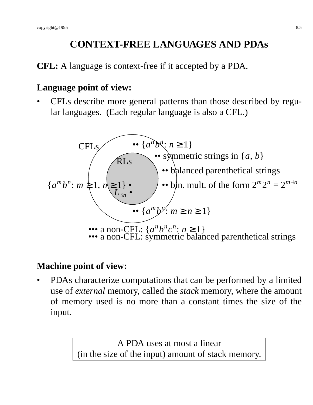# **CONTEXT-FREE LANGUAGES AND PDAs**

**CFL:** A language is context-free if it accepted by a PDA.

### **Language point of view:**

• CFLs describe more general patterns than those described by regular languages. (Each regular language is also a CFL.)



### **Machine point of view:**

• PDAs characterize computations that can be performed by a limited use of *external* memory, called the *stack* memory, where the amount of memory used is no more than a constant times the size of the input.

> A PDA uses at most a linear (in the size of the input) amount of stack memory.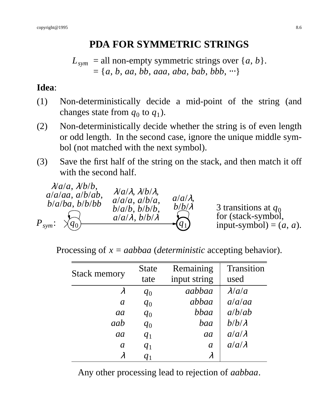# **PDA FOR SYMMETRIC STRINGS**

 $L_{sym}$  = all non-empty symmetric strings over {*a*, *b* }.  $= \{a, b, aa, bb, aaa, aba, bab, bbb, \cdots\}$ 

## **Idea**:

- (1) Non-deterministically decide a mid-point of the string (and changes state from  $q_0$  to  $q_1$ ).
- (2) Non-deterministically decide whether the string is of even length or odd length. In the second case, ignore the unique middle symbol (not matched with the next symbol).
- (3) Save the first half of the string on the stack, and then match it off with the second half.

| $\lambda/a/a$ , $\lambda/b/b$ ,<br>$a/a/aa$ , $a/b/ab$ ,<br>b/a/ba, b/b/bb<br>$P_{sym}$ :<br>$\times q_0$ | $\lambda/a/\lambda$ , $\lambda/b/\lambda$ ,<br>$a/a/a$ , $a/b/a$ ,<br>$b/a/b$ , $b/b/b$ ,<br>$a/a/\lambda$ , $b/b/\lambda$ | $a/a/\lambda$ ,<br>$b/b/\lambda$ | 3 transitions at $q_0$<br>for (stack-symbol,<br>input-symbol) = $(a, a)$ . |
|-----------------------------------------------------------------------------------------------------------|----------------------------------------------------------------------------------------------------------------------------|----------------------------------|----------------------------------------------------------------------------|
|-----------------------------------------------------------------------------------------------------------|----------------------------------------------------------------------------------------------------------------------------|----------------------------------|----------------------------------------------------------------------------|

Processing of *x* = *aabbaa* (*deterministic* accepting behavior).

| <b>Stack memory</b> | <b>State</b> | Remaining      | Transition    |
|---------------------|--------------|----------------|---------------|
|                     | tate         | input string   | used          |
| $\lambda$           | $q_0$        | aabbaa         | $\lambda/a/a$ |
| $\mathfrak{a}$      | $q_0$        | abbaa          | a/a/aa        |
| aa                  | $q_0$        | bbaa           | a/b/ab        |
| aab                 | $q_0$        | baa            | $b/b/\lambda$ |
| aa                  | $q_1$        | aa             | $a/a/\lambda$ |
| $\mathfrak{a}$      | $q_1$        | $\mathfrak{a}$ | $a/a/\lambda$ |
| $\lambda$           | $q_1$        | $\lambda$      |               |

Any other processing lead to rejection of *aabbaa*.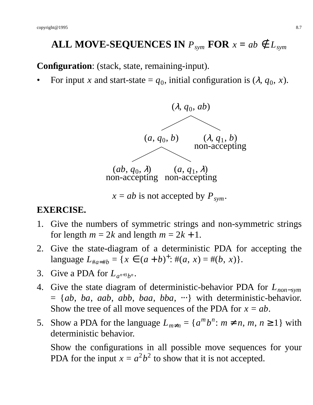# **ALL MOVE-SEQUENCES IN**  $P_{sym}$  **FOR**  $x = ab \notin L_{sym}$

**Configuration**: (stack, state, remaining-input).

• For input *x* and start-state =  $q_0$ , initial configuration is  $(\lambda, q_0, x)$ .



#### **EXERCISE.**

- 1. Give the numbers of symmetric strings and non-symmetric strings for length  $m = 2k$  and length  $m = 2k + 1$ .
- 2. Give the state-diagram of a deterministic PDA for accepting the language  $L_{\#a=\#b} = \{x \in (a+b)^+ : \#(a, x) = \#(b, x)\}.$
- 3. Give a PDA for  $L_{a^{n+3}b^n}$ .
- 4. Give the state diagram of deterministic-behavior PDA for *Lnon*−*sym* = {*ab*, *ba*, *aab*, *abb*, *baa*, *bba*, ⋅⋅⋅} with deterministic-behavior. Show the tree of all move sequences of the PDA for  $x = ab$ .
- 5. Show a PDA for the language  $L_{m \neq n} = \{a^m b^n : m \neq n, m, n \geq 1\}$  with deterministic behavior.

Show the configurations in all possible move sequences for your PDA for the input  $x = a^2b^2$  to show that it is not accepted.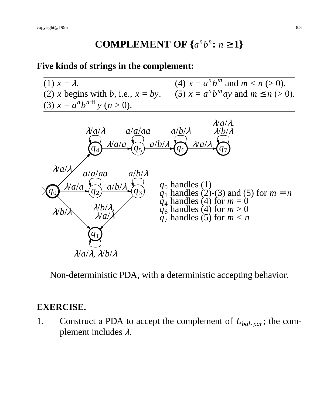# **COMPLEMENT OF**  $\{a^n b^n : n \ge 1\}$

#### **Five kinds of strings in the complement:**



Non-deterministic PDA, with a deterministic accepting behavior.

#### **EXERCISE.**

1. Construct a PDA to accept the complement of *Lbal*-*par*; the complement includes <sup>λ</sup>.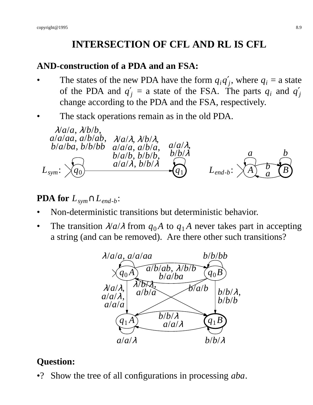# **INTERSECTION OF CFL AND RL IS CFL**

### **AND-construction of a PDA and an FSA:**

- The states of the new PDA have the form  $q_i q'_j$ , where  $q_i =$  a state of the PDA and  $q'_j = a$  state of the FSA. The parts  $q_i$  and  $q'_j$ change according to the PDA and the FSA, respectively.
- The stack operations remain as in the old PDA.



# **PDA for** *Lsym*∩*Lend*-*<sup>b</sup>* :

- Non-deterministic transitions but deterministic behavior.
- The transition  $\lambda/a/\lambda$  from  $q_0A$  to  $q_1A$  never takes part in accepting a string (and can be removed). Are there other such transitions?



# **Question:**

•? Show the tree of all configurations in processing *aba*.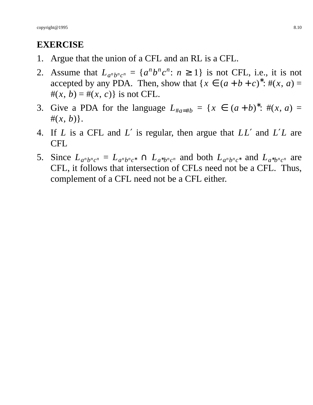## **EXERCISE**

- 1. Argue that the union of a CFL and an RL is a CFL.
- 2. Assume that  $L_{a^n b^n c^n} = \{a^n b^n c^n : n \ge 1\}$  is not CFL, i.e., it is not accepted by any PDA. Then, show that  $\{x \in (a+b+c)^* : \#(x, a) =$  $#(x, b) = #(x, c)$  is not CFL.
- 3. Give a PDA for the language  $L_{\#a=\#b} = \{x \in (a+b)^* : \#(x, a) =$  $#(x, b)$ .
- 4. If *L* is a CFL and *L*′ is regular, then argue that *LL*′ and *L*′*L* are CFL
- 5. Since  $L_{a^n b^n c^n} = L_{a^n b^n c^n} \cap L_{a^* b^n c^n}$  and both  $L_{a^n b^n c^n}$  and  $L_{a^* b^n c^n}$  are CFL, it follows that intersection of CFLs need not be a CFL. Thus, complement of a CFL need not be a CFL either.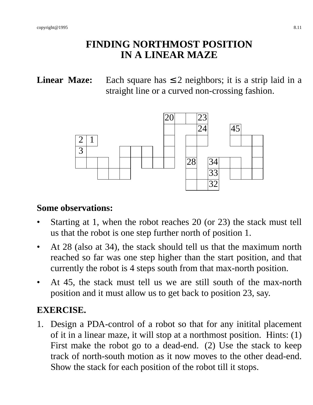## **FINDING NORTHMOST POSITION IN A LINEAR MAZE**

**Linear Maze:** Each square has  $\leq 2$  neighbors; it is a strip laid in a straight line or a curved non-crossing fashion.



#### **Some observations:**

- Starting at 1, when the robot reaches 20 (or 23) the stack must tell us that the robot is one step further north of position 1.
- At 28 (also at 34), the stack should tell us that the maximum north reached so far was one step higher than the start position, and that currently the robot is 4 steps south from that max-north position.
- At 45, the stack must tell us we are still south of the max-north position and it must allow us to get back to position 23, say.

# **EXERCISE.**

1. Design a PDA-control of a robot so that for any initital placement of it in a linear maze, it will stop at a northmost position. Hints: (1) First make the robot go to a dead-end. (2) Use the stack to keep track of north-south motion as it now moves to the other dead-end. Show the stack for each position of the robot till it stops.